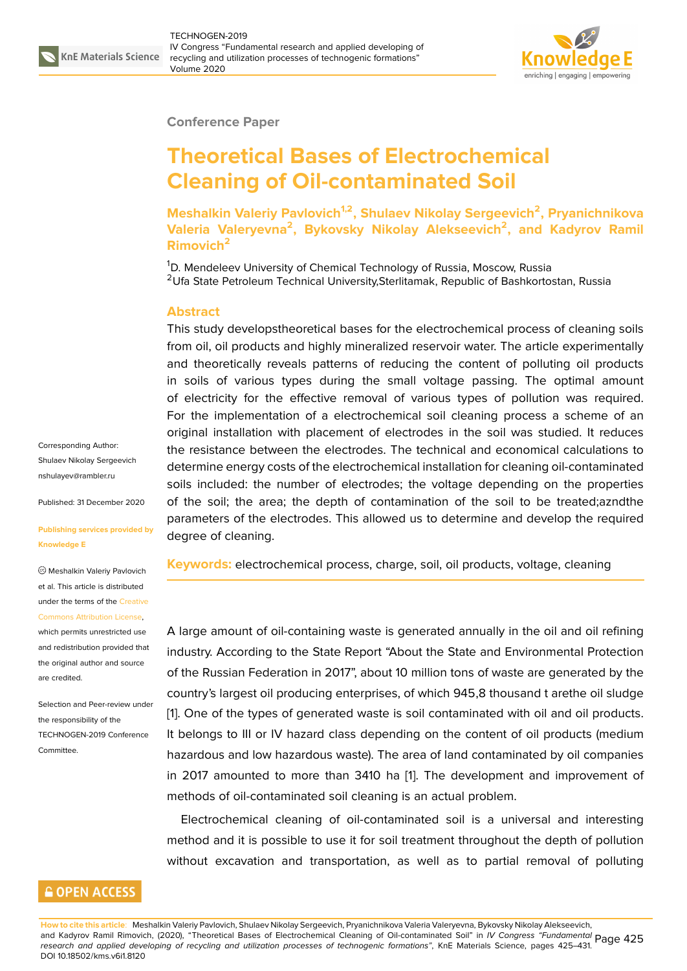

### **Conference Paper**

# **Theoretical Bases of Electrochemical Cleaning of Oil-contaminated Soil**

**Meshalkin Valeriy Pavlovich1,2, Shulaev Nikolay Sergeevich<sup>2</sup> , Pryanichnikova Valeria Valeryevna<sup>2</sup> , Bykovsky Nikolay Alekseevich<sup>2</sup> , and Kadyrov Ramil Rimovich<sup>2</sup>**

<sup>1</sup>D. Mendeleev University of Chemical Technology of Russia, Moscow, Russia <sup>2</sup>Ufa State Petroleum Technical University, Sterlitamak, Republic of Bashkortostan, Russia

### **Abstract**

This study developstheoretical bases for the electrochemical process of cleaning soils from oil, oil products and highly mineralized reservoir water. The article experimentally and theoretically reveals patterns of reducing the content of polluting oil products in soils of various types during the small voltage passing. The optimal amount of electricity for the effective removal of various types of pollution was required. For the implementation of a electrochemical soil cleaning process a scheme of an original installation with placement of electrodes in the soil was studied. It reduces the resistance between the electrodes. The technical and economical calculations to determine energy costs of the electrochemical installation for cleaning oil-contaminated soils included: the number of electrodes; the voltage depending on the properties of the soil; the area; the depth of contamination of the soil to be treated;azndthe parameters of the electrodes. This allowed us to determine and develop the required degree of cleaning.

**Keywords:** electrochemical process, charge, soil, oil products, voltage, cleaning

A large amount of oil-containing waste is generated annually in the oil and oil refining industry. According to the State Report "About the State and Environmental Protection of the Russian Federation in 2017", about 10 million tons of waste are generated by the country's largest oil producing enterprises, of which 945,8 thousand t arethe oil sludge [1]. One of the types of generated waste is soil contaminated with oil and oil products. It belongs to III or IV hazard class depending on the content of oil products (medium hazardous and low hazardous waste). The area of land contaminated by oil companies i[n](#page-5-0) 2017 amounted to more than 3410 ha [1]. The development and improvement of methods of oil-contaminated soil cleaning is an actual problem.

Electrochemical cleaning of oil-contaminated soil is a universal and interesting method and it is possible to use it for soil t[re](#page-5-0)atment throughout the depth of pollution without excavation and transportation, as well as to partial removal of polluting

Corresponding Author: Shulaev Nikolay Sergeevich nshulayev@rambler.ru

Published: 31 December 2020

**[Publishing services pr](mailto:nshulayev@rambler.ru)ovided by Knowledge E**

Meshalkin Valeriy Pavlovich et al. This article is distributed under the terms of the Creative Commons Attribution License,

which permits unrestricted use and redistribution provided that the original author and [source](https://creativecommons.org/licenses/by/4.0/) [are credited.](https://creativecommons.org/licenses/by/4.0/)

Selection and Peer-review under the responsibility of the TECHNOGEN-2019 Conference Committee.

## **GOPEN ACCESS**

**How to cite this article**: Meshalkin Valeriy Pavlovich, Shulaev Nikolay Sergeevich, Pryanichnikova Valeria Valeryevna, Bykovsky Nikolay Alekseevich, and Kadyrov Ramil Rimovich, (2020), "Theoretical Bases of Electrochemical Cleaning of Oil-contaminated Soil" in *IV Congress "Fundamental* Page 425 *research and applied developing of recycling and utilization processes of technogenic formations"*, KnE Materials Science, pages 425–431. DOI 10.18502/kms.v6i1.8120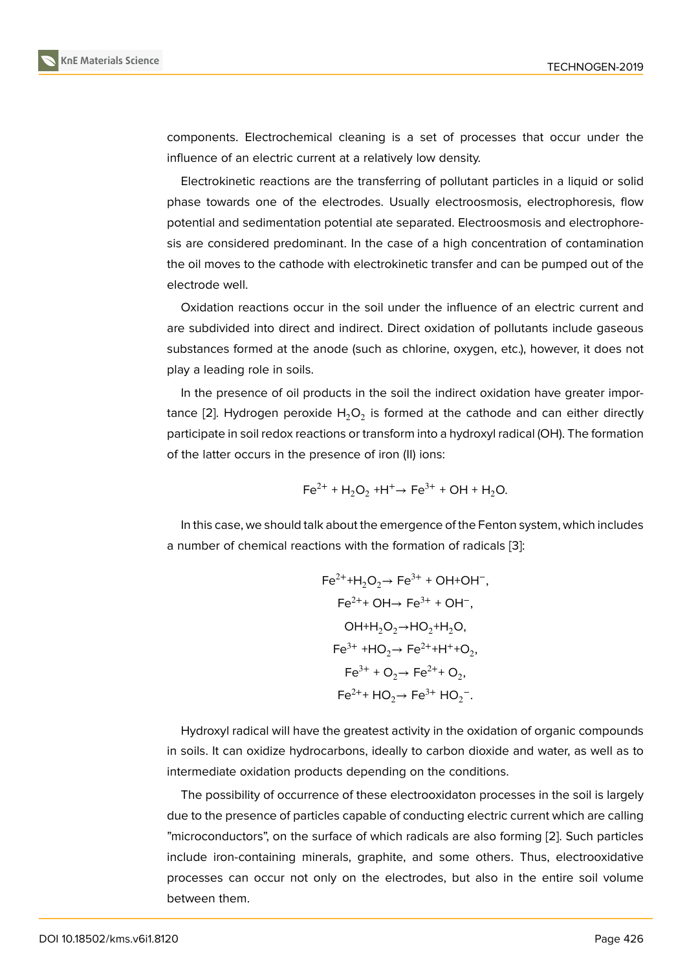components. Electrochemical cleaning is a set of processes that occur under the influence of an electric current at a relatively low density.

Electrokinetic reactions are the transferring of pollutant particles in a liquid or solid phase towards one of the electrodes. Usually electroosmosis, electrophoresis, flow potential and sedimentation potential ate separated. Electroosmosis and electrophoresis are considered predominant. In the case of a high concentration of contamination the oil moves to the cathode with electrokinetic transfer and can be pumped out of the electrode well.

Oxidation reactions occur in the soil under the influence of an electric current and are subdivided into direct and indirect. Direct oxidation of pollutants include gaseous substances formed at the anode (such as chlorine, oxygen, etc.), however, it does not play a leading role in soils.

In the presence of oil products in the soil the indirect oxidation have greater importance [2]. Hydrogen peroxide  ${\sf H_2O_2}$  is formed at the cathode and can either directly participate in soil redox reactions or transform into a hydroxyl radical (OH). The formation of the latter occurs in the presence of iron (II) ions:

$$
\text{Fe}^{2+} + \text{H}_2\text{O}_2 + \text{H}^+ \rightarrow \text{Fe}^{3+} + \text{OH} + \text{H}_2\text{O}.
$$

In this case, we should talk about the emergence of the Fenton system, which includes a number of chemical reactions with the formation of radicals [3]:

$$
Fe^{2+} + H_2O_2 \rightarrow Fe^{3+} + OH + OH^-,
$$
  
\n
$$
Fe^{2+} + OH \rightarrow Fe^{3+} + OH^-,
$$
  
\n
$$
OH + H_2O_2 \rightarrow HO_2 + H_2O,
$$
  
\n
$$
Fe^{3+} + HO_2 \rightarrow Fe^{2+} + H^+ + O_2,
$$
  
\n
$$
Fe^{3+} + O_2 \rightarrow Fe^{2+} + O_2,
$$
  
\n
$$
Fe^{2+} + HO_2 \rightarrow Fe^{3+} + O_2^-.
$$

Hydroxyl radical will have the greatest activity in the oxidation of organic compounds in soils. It can oxidize hydrocarbons, ideally to carbon dioxide and water, as well as to intermediate oxidation products depending on the conditions.

The possibility of occurrence of these electrooxidaton processes in the soil is largely due to the presence of particles capable of conducting electric current which are calling "microconductors", on the surface of which radicals are also forming [2]. Such particles include iron-containing minerals, graphite, and some others. Thus, electrooxidative processes can occur not only on the electrodes, but also in the entire soil volume between them.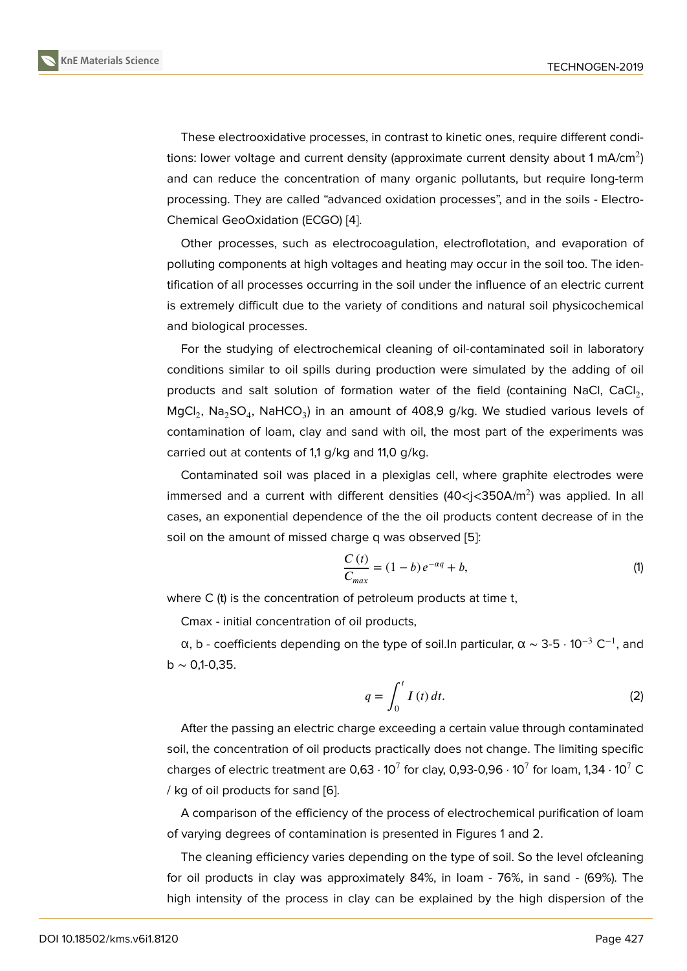These electrooxidative processes, in contrast to kinetic ones, require different conditions: lower voltage and current density (approximate current density about 1 mA/cm $^2\,)$ and can reduce the concentration of many organic pollutants, but require long-term processing. They are called "advanced oxidation processes", and in the soils - Electro-Chemical GeoOxidation (ECGO) [4].

Other processes, such as electrocoagulation, electroflotation, and evaporation of polluting components at high voltages and heating may occur in the soil too. The identification of all processes occurri[ng](#page-6-0) in the soil under the influence of an electric current is extremely difficult due to the variety of conditions and natural soil physicochemical and biological processes.

For the studying of electrochemical cleaning of oil-contaminated soil in laboratory conditions similar to oil spills during production were simulated by the adding of oil products and salt solution of formation water of the field (containing NaCl, CaCl<sub>2</sub>, MgCl<sub>2</sub>, Na<sub>2</sub>SO<sub>4</sub>, NaHCO<sub>3</sub>) in an amount of 408,9 g/kg. We studied various levels of contamination of loam, clay and sand with oil, the most part of the experiments was carried out at contents of 1,1 g/kg and 11,0 g/kg.

Contaminated soil was placed in a plexiglas cell, where graphite electrodes were immersed and a current with different densities (40<j<350A/m<sup>2</sup>) was applied. In all cases, an exponential dependence of the the oil products content decrease of in the soil on the amount of missed charge q was observed [5]:

$$
\frac{C(t)}{C_{max}} = (1 - b) e^{-\alpha q} + b,
$$
\n(1)

where C (t) is the concentration of petroleum products [a](#page-6-1)t time t,

Cmax - initial concentration of oil products,

α, b - coefficients depending on the type of soil.In particular, α ~ 3-5  $\cdot$  10<sup>-3</sup> C<sup>-1</sup>, and b  $\sim$  0,1-0,35.

$$
q = \int_0^t I(t) dt.
$$
 (2)

After the passing an electric charge exceeding a certain value through contaminated soil, the concentration of oil products practically does not change. The limiting specific charges of electric treatment are 0,63  $\cdot$  10 $^{7}$  for clay, 0,93-0,96  $\cdot$  10 $^{7}$  for loam, 1,34  $\cdot$  10 $^{7}$  C / kg of oil products for sand [6].

A comparison of the efficiency of the process of electrochemical purification of loam of varying degrees of contamination is presented in Figures 1 and 2.

The cleaning efficiency va[rie](#page-6-2)s depending on the type of soil. So the level ofcleaning for oil products in clay was approximately 84%, in loam - 76%, in sand - (69%). The high intensity of the process in clay can be explained by the high dispersion of the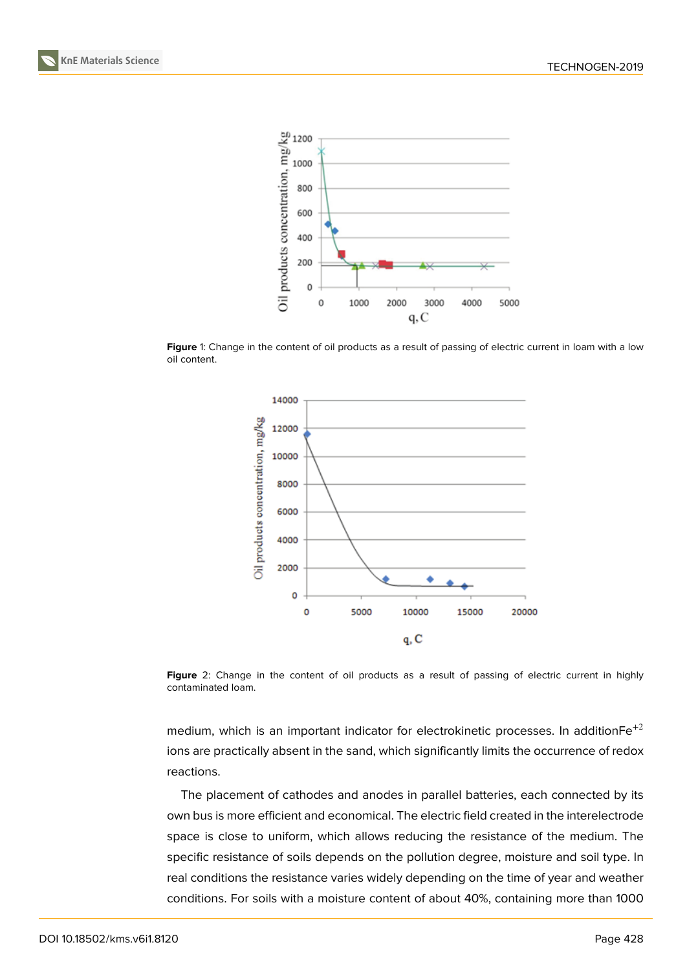



Figure 1: Change in the content of oil products as a result of passing of electric current in loam with a low oil content.



Figure 2: Change in the content of oil products as a result of passing of electric current in highly contaminated loam.

medium, which is an important indicator for electrokinetic processes. In addition $Fe^{+2}$ ions are practically absent in the sand, which significantly limits the occurrence of redox reactions.

The placement of cathodes and anodes in parallel batteries, each connected by its own bus is more efficient and economical. The electric field created in the interelectrode space is close to uniform, which allows reducing the resistance of the medium. The specific resistance of soils depends on the pollution degree, moisture and soil type. In real conditions the resistance varies widely depending on the time of year and weather conditions. For soils with a moisture content of about 40%, containing more than 1000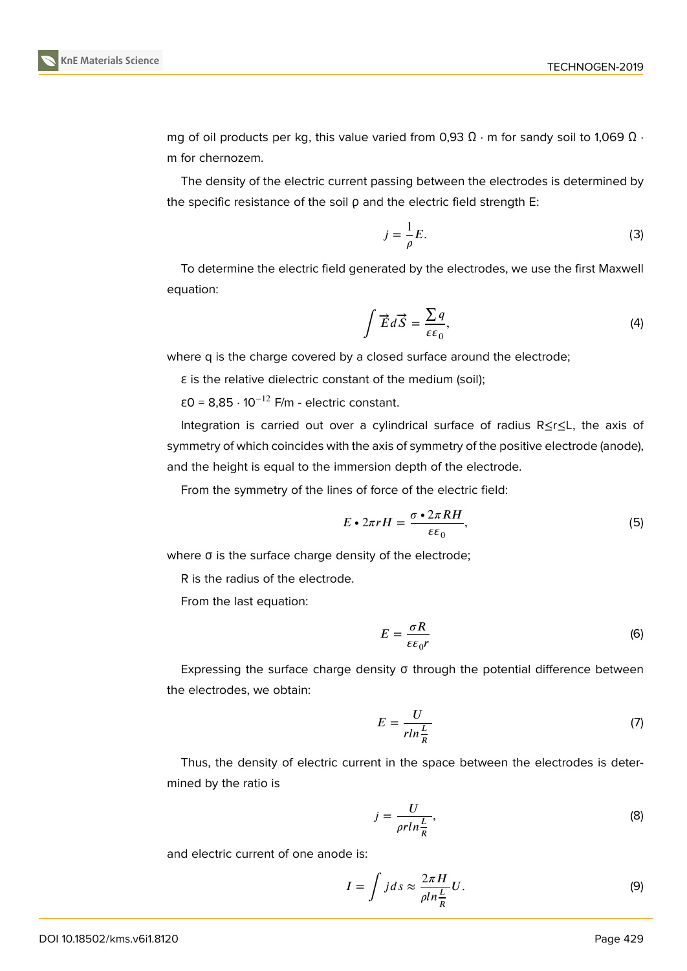

mg of oil products per kg, this value varied from 0,93  $\Omega \cdot m$  for sandy soil to 1,069  $\Omega \cdot m$ m for chernozem.

The density of the electric current passing between the electrodes is determined by the specific resistance of the soil ρ and the electric field strength E:

$$
j = \frac{1}{\rho}E.\tag{3}
$$

To determine the electric field generated by the electrodes, we use the first Maxwell equation:

$$
\int \vec{E} \, d\vec{S} = \frac{\sum q}{\varepsilon \varepsilon_0},\tag{4}
$$

where q is the charge covered by a closed surface around the electrode;

ε is the relative dielectric constant of the medium (soil);

ε0 = 8,85 · 10−12 F/m - electric constant.

Integration is carried out over a cylindrical surface of radius R≤r≤L, the axis of symmetry of which coincides with the axis of symmetry of the positive electrode (anode), and the height is equal to the immersion depth of the electrode.

From the symmetry of the lines of force of the electric field:

$$
E \cdot 2\pi r H = \frac{\sigma \cdot 2\pi R H}{\varepsilon \varepsilon_0},\tag{5}
$$

where σ is the surface charge density of the electrode;

R is the radius of the electrode.

From the last equation:

$$
E = \frac{\sigma R}{\varepsilon \varepsilon_0 r} \tag{6}
$$

Expressing the surface charge density σ through the potential difference between the electrodes, we obtain:

$$
E = \frac{U}{r \ln \frac{L}{R}}\tag{7}
$$

Thus, the density of electric current in the space between the electrodes is determined by the ratio is

$$
j = \frac{U}{\rho r ln \frac{L}{R}},\tag{8}
$$

and electric current of one anode is:

$$
I = \int j ds \approx \frac{2\pi H}{\rho l n \frac{L}{R}} U.
$$
 (9)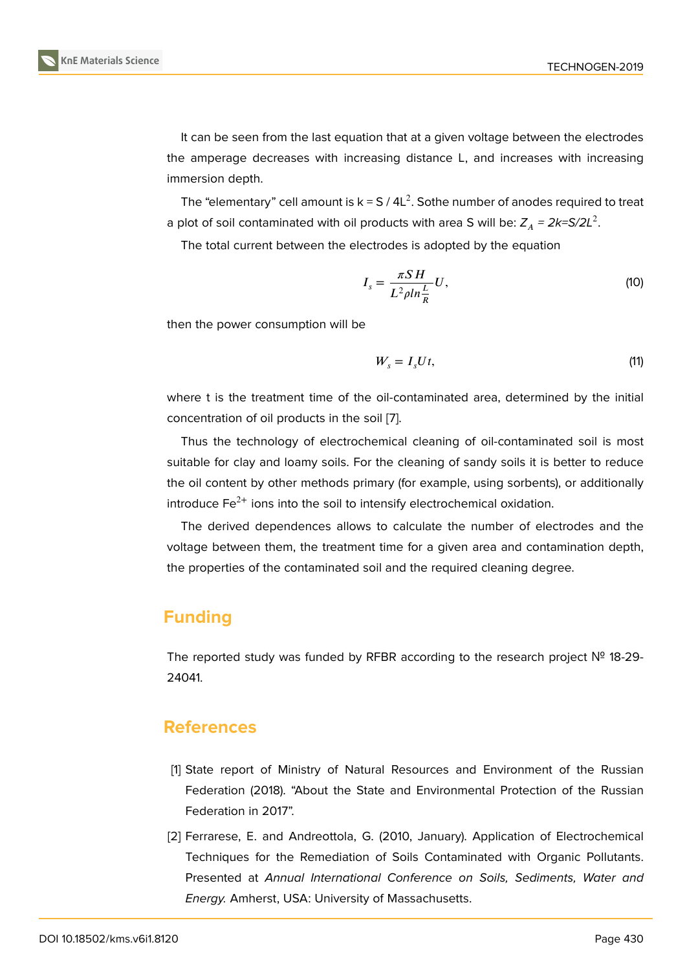It can be seen from the last equation that at a given voltage between the electrodes the amperage decreases with increasing distance L, and increases with increasing immersion depth.

The "elementary" cell amount is k = S / 4L<sup>2</sup>. Sothe number of anodes required to treat a plot of soil contaminated with oil products with area S will be:  $Z_A$  = 2k=S/2L<sup>2</sup>.

The total current between the electrodes is adopted by the equation

$$
I_s = \frac{\pi S H}{L^2 \rho l n \frac{L}{R}} U,\tag{10}
$$

then the power consumption will be

$$
W_s = I_s U t, \tag{11}
$$

where t is the treatment time of the oil-contaminated area, determined by the initial concentration of oil products in the soil [7].

Thus the technology of electrochemical cleaning of oil-contaminated soil is most suitable for clay and loamy soils. For the cleaning of sandy soils it is better to reduce the oil content by other methods primar[y](#page-6-3) (for example, using sorbents), or additionally introduce  $Fe<sup>2+</sup>$  ions into the soil to intensify electrochemical oxidation.

The derived dependences allows to calculate the number of electrodes and the voltage between them, the treatment time for a given area and contamination depth, the properties of the contaminated soil and the required cleaning degree.

# **Funding**

The reported study was funded by RFBR according to the research project № 18-29- 24041.

## **References**

- [1] State report of Ministry of Natural Resources and Environment of the Russian Federation (2018). "About the State and Environmental Protection of the Russian Federation in 2017".
- <span id="page-5-0"></span>[2] Ferrarese, E. and Andreottola, G. (2010, January). Application of Electrochemical Techniques for the Remediation of Soils Contaminated with Organic Pollutants. Presented at *Annual International Conference on Soils, Sediments, Water and Energy.* Amherst, USA: University of Massachusetts.